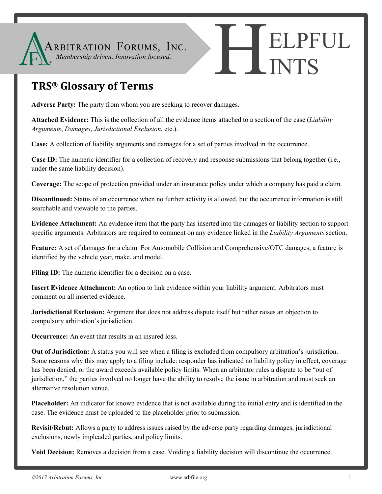

## **TRS® Glossary of Terms**

**Adverse Party:** The party from whom you are seeking to recover damages.

**Attached Evidence:** This is the collection of all the evidence items attached to a section of the case (*Liability Arguments*, *Damages*, *Jurisdictional Exclusion*, etc.).

**Case:** A collection of liability arguments and damages for a set of parties involved in the occurrence.

**Case ID:** The numeric identifier for a collection of recovery and response submissions that belong together (i.e., under the same liability decision).

**Coverage:** The scope of protection provided under an insurance policy under which a company has paid a claim.

**Discontinued:** Status of an occurrence when no further activity is allowed, but the occurrence information is still searchable and viewable to the parties.

**Evidence Attachment:** An evidence item that the party has inserted into the damages or liability section to support specific arguments. Arbitrators are required to comment on any evidence linked in the *Liability Arguments* section.

**Feature:** A set of damages for a claim. For Automobile Collision and Comprehensive/OTC damages, a feature is identified by the vehicle year, make, and model.

Filing ID: The numeric identifier for a decision on a case.

**Insert Evidence Attachment:** An option to link evidence within your liability argument. Arbitrators must comment on all inserted evidence.

**Jurisdictional Exclusion:** Argument that does not address dispute itself but rather raises an objection to compulsory arbitration's jurisdiction.

**Occurrence:** An event that results in an insured loss.

**Out of Jurisdiction:** A status you will see when a filing is excluded from compulsory arbitration's jurisdiction. Some reasons why this may apply to a filing include: responder has indicated no liability policy in effect, coverage has been denied, or the award exceeds available policy limits. When an arbitrator rules a dispute to be "out of jurisdiction," the parties involved no longer have the ability to resolve the issue in arbitration and must seek an alternative resolution venue.

**Placeholder:** An indicator for known evidence that is not available during the initial entry and is identified in the case. The evidence must be uploaded to the placeholder prior to submission.

**Revisit/Rebut:** Allows a party to address issues raised by the adverse party regarding damages, jurisdictional exclusions, newly impleaded parties, and policy limits.

**Void Decision:** Removes a decision from a case. Voiding a liability decision will discontinue the occurrence.

**ELPFUL** 

INTS